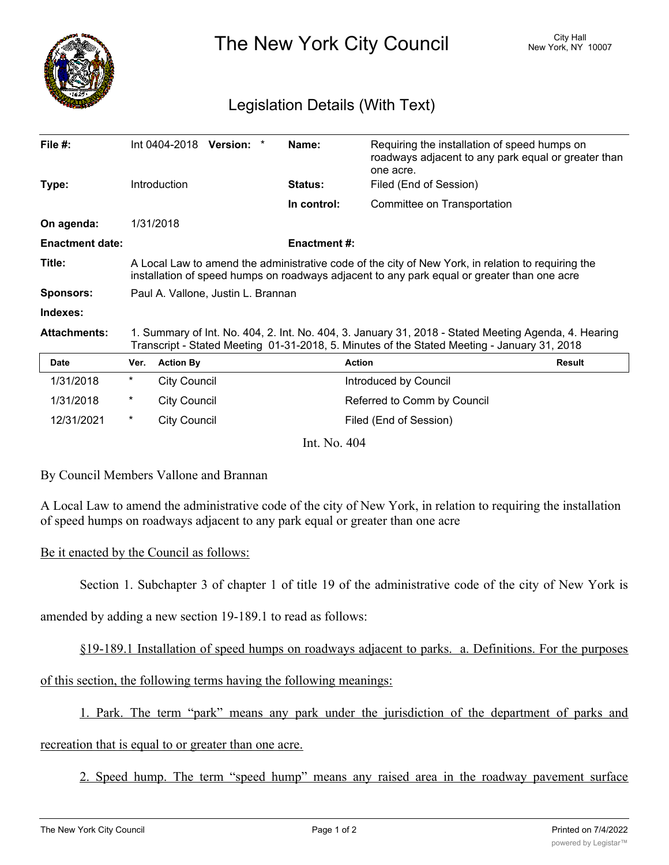

The New York City Council New York, NY 10007

## Legislation Details (With Text)

| File #:                |                                                                                                                                                                                                     | $Int 0404-2018$ Version: |  |  | Name:               | Requiring the installation of speed humps on<br>roadways adjacent to any park equal or greater than<br>one acre. |               |
|------------------------|-----------------------------------------------------------------------------------------------------------------------------------------------------------------------------------------------------|--------------------------|--|--|---------------------|------------------------------------------------------------------------------------------------------------------|---------------|
| Type:                  |                                                                                                                                                                                                     | <b>Introduction</b>      |  |  | <b>Status:</b>      | Filed (End of Session)                                                                                           |               |
|                        |                                                                                                                                                                                                     |                          |  |  | In control:         | Committee on Transportation                                                                                      |               |
| On agenda:             |                                                                                                                                                                                                     | 1/31/2018                |  |  |                     |                                                                                                                  |               |
| <b>Enactment date:</b> |                                                                                                                                                                                                     |                          |  |  | <b>Enactment #:</b> |                                                                                                                  |               |
| Title:                 | A Local Law to amend the administrative code of the city of New York, in relation to requiring the<br>installation of speed humps on roadways adjacent to any park equal or greater than one acre   |                          |  |  |                     |                                                                                                                  |               |
| <b>Sponsors:</b>       | Paul A. Vallone, Justin L. Brannan                                                                                                                                                                  |                          |  |  |                     |                                                                                                                  |               |
| Indexes:               |                                                                                                                                                                                                     |                          |  |  |                     |                                                                                                                  |               |
| <b>Attachments:</b>    | 1. Summary of Int. No. 404, 2. Int. No. 404, 3. January 31, 2018 - Stated Meeting Agenda, 4. Hearing<br>Transcript - Stated Meeting 01-31-2018, 5. Minutes of the Stated Meeting - January 31, 2018 |                          |  |  |                     |                                                                                                                  |               |
| <b>Date</b>            | Ver.                                                                                                                                                                                                | <b>Action By</b>         |  |  |                     | <b>Action</b>                                                                                                    | <b>Result</b> |
| 1/31/2018              | *                                                                                                                                                                                                   | <b>City Council</b>      |  |  |                     | Introduced by Council                                                                                            |               |
| 1/31/2018              | *                                                                                                                                                                                                   | <b>City Council</b>      |  |  |                     | Referred to Comm by Council                                                                                      |               |
| 12/31/2021             | *                                                                                                                                                                                                   | City Council             |  |  |                     | Filed (End of Session)                                                                                           |               |

Int. No. 404

By Council Members Vallone and Brannan

A Local Law to amend the administrative code of the city of New York, in relation to requiring the installation of speed humps on roadways adjacent to any park equal or greater than one acre

## Be it enacted by the Council as follows:

Section 1. Subchapter 3 of chapter 1 of title 19 of the administrative code of the city of New York is

amended by adding a new section 19-189.1 to read as follows:

§19-189.1 Installation of speed humps on roadways adjacent to parks. a. Definitions. For the purposes

of this section, the following terms having the following meanings:

1. Park. The term "park" means any park under the jurisdiction of the department of parks and

recreation that is equal to or greater than one acre.

2. Speed hump. The term "speed hump" means any raised area in the roadway pavement surface